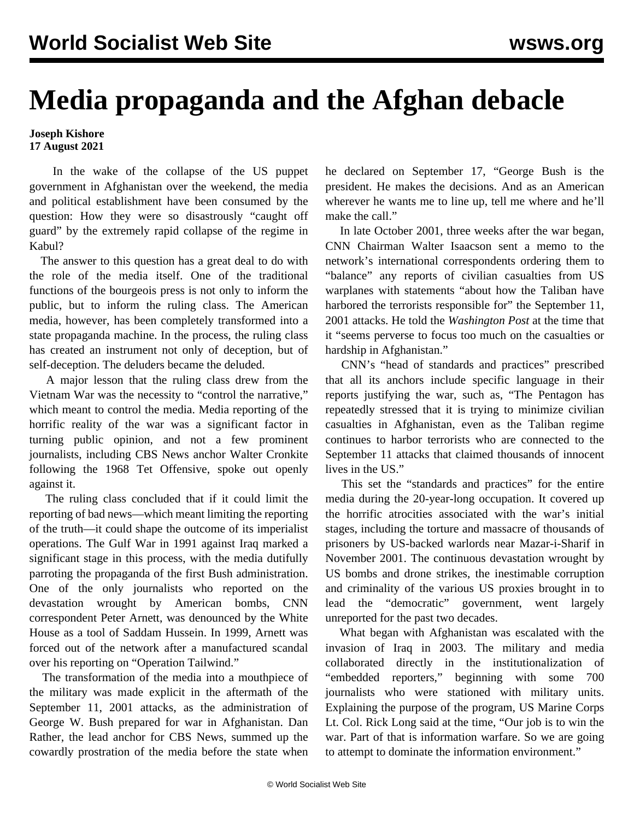## **Media propaganda and the Afghan debacle**

## **Joseph Kishore 17 August 2021**

 In the wake of the collapse of the US puppet government in Afghanistan over the weekend, the media and political establishment have been consumed by the question: How they were so disastrously "caught off guard" by the extremely rapid collapse of the regime in Kabul?

 The answer to this question has a great deal to do with the role of the media itself. One of the traditional functions of the bourgeois press is not only to inform the public, but to inform the ruling class. The American media, however, has been completely transformed into a state propaganda machine. In the process, the ruling class has created an instrument not only of deception, but of self-deception. The deluders became the deluded.

 A major lesson that the ruling class drew from the Vietnam War was the necessity to "control the narrative," which meant to control the media. Media reporting of the horrific reality of the war was a significant factor in turning public opinion, and not a few prominent journalists, including CBS News anchor Walter Cronkite following the 1968 Tet Offensive, spoke out openly against it.

 The ruling class concluded that if it could limit the reporting of bad news—which meant limiting the reporting of the truth—it could shape the outcome of its imperialist operations. The Gulf War in 1991 against Iraq marked a significant stage in this process, with the media dutifully parroting the propaganda of the first Bush administration. One of the only journalists who reported on the devastation wrought by American bombs, CNN correspondent Peter Arnett, was denounced by the White House as a tool of Saddam Hussein. In 1999, Arnett was forced out of the network after a manufactured scandal over his reporting on "Operation Tailwind."

 The transformation of the media into a mouthpiece of the military was made explicit in the aftermath of the September 11, 2001 attacks, as the administration of George W. Bush prepared for war in Afghanistan. Dan Rather, the lead anchor for CBS News, summed up the cowardly prostration of the media before the state when

he declared on September 17, "George Bush is the president. He makes the decisions. And as an American wherever he wants me to line up, tell me where and he'll make the call."

 In late October 2001, three weeks after the war began, CNN Chairman Walter Isaacson sent a memo to the network's international correspondents ordering them to "balance" any reports of civilian casualties from US warplanes with statements "about how the Taliban have harbored the terrorists responsible for" the September 11, 2001 attacks. He told the *Washington Post* at the time that it "seems perverse to focus too much on the casualties or hardship in Afghanistan."

 CNN's "head of standards and practices" prescribed that all its anchors include specific language in their reports justifying the war, such as, "The Pentagon has repeatedly stressed that it is trying to minimize civilian casualties in Afghanistan, even as the Taliban regime continues to harbor terrorists who are connected to the September 11 attacks that claimed thousands of innocent lives in the US."

 This set the "standards and practices" for the entire media during the 20-year-long occupation. It covered up the horrific atrocities associated with the war's initial stages, including the torture and massacre of thousands of prisoners by US-backed warlords near Mazar-i-Sharif in November 2001. The continuous devastation wrought by US bombs and drone strikes, the inestimable corruption and criminality of the various US proxies brought in to lead the "democratic" government, went largely unreported for the past two decades.

 What began with Afghanistan was escalated with the invasion of Iraq in 2003. The military and media collaborated directly in the institutionalization of "embedded reporters," beginning with some 700 journalists who were stationed with military units. Explaining the purpose of the program, US Marine Corps Lt. Col. Rick Long said at the time, "Our job is to win the war. Part of that is information warfare. So we are going to attempt to dominate the information environment."